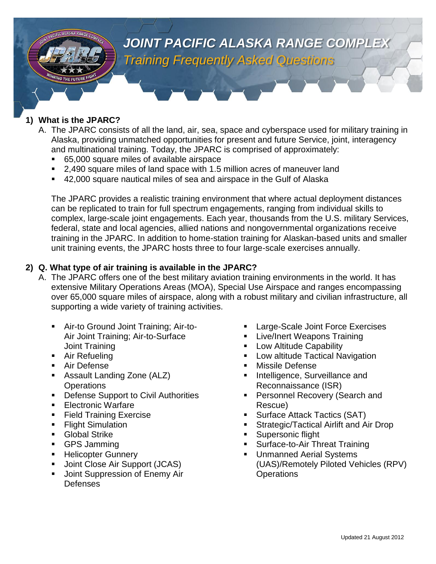

## **1) What is the JPARC?**

- A. The JPARC consists of all the land, air, sea, space and cyberspace used for military training in Alaska, providing unmatched opportunities for present and future Service, joint, interagency and multinational training. Today, the JPARC is comprised of approximately:
	- 65,000 square miles of available airspace
	- 2,490 square miles of land space with 1.5 million acres of maneuver land
	- 42,000 square nautical miles of sea and airspace in the Gulf of Alaska

The JPARC provides a realistic training environment that where actual deployment distances can be replicated to train for full spectrum engagements, ranging from individual skills to complex, large-scale joint engagements. Each year, thousands from the U.S. military Services, federal, state and local agencies, allied nations and nongovernmental organizations receive training in the JPARC. In addition to home-station training for Alaskan-based units and smaller unit training events, the JPARC hosts three to four large-scale exercises annually.

## **2) Q. What type of air training is available in the JPARC?**

- A. The JPARC offers one of the best military aviation training environments in the world. It has extensive Military Operations Areas (MOA), Special Use Airspace and ranges encompassing over 65,000 square miles of airspace, along with a robust military and civilian infrastructure, all supporting a wide variety of training activities.
	- Air-to Ground Joint Training; Air-to-Air Joint Training; Air-to-Surface Joint Training
	- **Air Refueling**
	- **Air Defense**
	- Assault Landing Zone (ALZ) **Operations**
	- **Defense Support to Civil Authorities**
	- **Electronic Warfare**
	- **Field Training Exercise**
	- Flight Simulation
	- **Global Strike**
	- GPS Jamming
	- **Helicopter Gunnery**
	- Joint Close Air Support (JCAS)
	- Joint Suppression of Enemy Air **Defenses**
- Large-Scale Joint Force Exercises
- **Live/Inert Weapons Training**
- Low Altitude Capability
- Low altitude Tactical Navigation
- **Nissile Defense**
- **Intelligence, Surveillance and** Reconnaissance (ISR)
- **Personnel Recovery (Search and** Rescue)
- Surface Attack Tactics (SAT)
- Strategic/Tactical Airlift and Air Drop
- Supersonic flight
- Surface-to-Air Threat Training
- Unmanned Aerial Systems (UAS)/Remotely Piloted Vehicles (RPV) **Operations**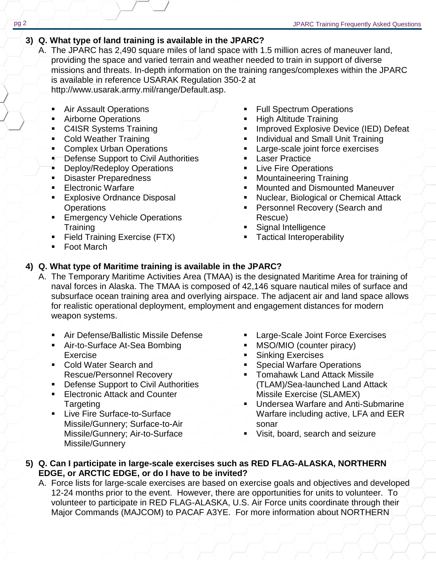## **3) Q. What type of land training is available in the JPARC?**

- A. The JPARC has 2,490 square miles of land space with 1.5 million acres of maneuver land, providing the space and varied terrain and weather needed to train in support of diverse missions and threats. In-depth information on the training ranges/complexes within the JPARC is available in reference USARAK Regulation 350-2 at [http://www.usarak.army.mil/range/Default.asp.](http://www.usarak.army.mil/range/Default.asp)
	- Air Assault Operations
	- **Airborne Operations**
	- **C4ISR Systems Training**
	- Cold Weather Training
	- **Complex Urban Operations**
	- Defense Support to Civil Authorities
	- **Deploy/Redeploy Operations**
	- **Disaster Preparedness**
	- **Electronic Warfare**
	- **Explosive Ordnance Disposal Operations**
	- **Emergency Vehicle Operations Training**
	- **Field Training Exercise (FTX)**
	- Foot March
- Full Spectrum Operations
- **High Altitude Training**
- Improved Explosive Device (IED) Defeat
- **Individual and Small Unit Training**
- Large-scale joint force exercises
- Laser Practice
- **Live Fire Operations**
- **Mountaineering Training**
- Mounted and Dismounted Maneuver
- Nuclear, Biological or Chemical Attack
- **Personnel Recovery (Search and** Rescue)
- **Signal Intelligence**
- **Tactical Interoperability**

# **4) Q. What type of Maritime training is available in the JPARC?**

- A. The Temporary Maritime Activities Area (TMAA) is the designated Maritime Area for training of naval forces in Alaska. The TMAA is composed of 42,146 square nautical miles of surface and subsurface ocean training area and overlying airspace. The adjacent air and land space allows for realistic operational deployment, employment and engagement distances for modern weapon systems.
	- Air Defense/Ballistic Missile Defense
	- **Air-to-Surface At-Sea Bombing** Exercise
	- Cold Water Search and Rescue/Personnel Recovery
	- **Defense Support to Civil Authorities**
	- **Electronic Attack and Counter Targeting**
	- Live Fire Surface-to-Surface Missile/Gunnery; Surface-to-Air Missile/Gunnery; Air-to-Surface Missile/Gunnery
- **Large-Scale Joint Force Exercises**
- MSO/MIO (counter piracy)
- **Sinking Exercises**
- Special Warfare Operations
- Tomahawk Land Attack Missile (TLAM)/Sea-launched Land Attack Missile Exercise (SLAMEX)
- **Undersea Warfare and Anti-Submarine** Warfare including active, LFA and EER sonar
- Visit, board, search and seizure

## **5) Q. Can I participate in large-scale exercises such as RED FLAG-ALASKA, NORTHERN EDGE, or ARCTIC EDGE, or do I have to be invited?**

A. Force lists for large-scale exercises are based on exercise goals and objectives and developed 12-24 months prior to the event. However, there are opportunities for units to volunteer. To volunteer to participate in RED FLAG-ALASKA, U.S. Air Force units coordinate through their Major Commands (MAJCOM) to PACAF A3YE. For more information about NORTHERN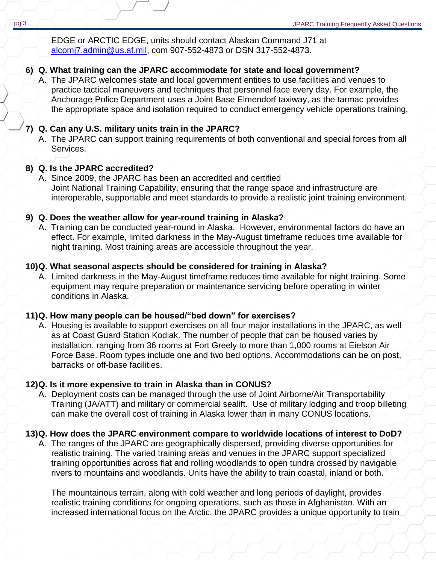EDGE or ARCTIC EDGE, units should contact Alaskan Command J71 at [alcomj7.admin@us.af.mil,](mailto:alcomj7.admin@us.af.mil) com 907-552-4873 or DSN 317-552-4873.

## **6) Q. What training can the JPARC accommodate for state and local government?**

A. The JPARC welcomes state and local government entities to use facilities and venues to practice tactical maneuvers and techniques that personnel face every day. For example, the Anchorage Police Department uses a Joint Base Elmendorf taxiway, as the tarmac provides the appropriate space and isolation required to conduct emergency vehicle operations training.

## **7) Q. Can any U.S. military units train in the JPARC?**

A. The JPARC can support training requirements of both conventional and special forces from all Services.

## **8) Q. Is the JPARC accredited?**

A. Since 2009, the JPARC has been an accredited and certified Joint National Training Capability, ensuring that the range space and infrastructure are interoperable, supportable and meet standards to provide a realistic joint training environment.

#### **9) Q. Does the weather allow for year-round training in Alaska?**

A. Training can be conducted year-round in Alaska. However, environmental factors do have an effect. For example, limited darkness in the May-August timeframe reduces time available for night training. Most training areas are accessible throughout the year.

#### **10)Q. What seasonal aspects should be considered for training in Alaska?**

A. Limited darkness in the May-August timeframe reduces time available for night training. Some equipment may require preparation or maintenance servicing before operating in winter conditions in Alaska.

#### **11)Q. How many people can be housed/"bed down" for exercises?**

A. Housing is available to support exercises on all four major installations in the JPARC, as well as at Coast Guard Station Kodiak. The number of people that can be housed varies by installation, ranging from 36 rooms at Fort Greely to more than 1,000 rooms at Eielson Air Force Base. Room types include one and two bed options. Accommodations can be on post, barracks or off-base facilities.

#### **12)Q. Is it more expensive to train in Alaska than in CONUS?**

A. Deployment costs can be managed through the use of Joint Airborne/Air Transportability Training (JA/ATT) and military or commercial sealift. Use of military lodging and troop billeting can make the overall cost of training in Alaska lower than in many CONUS locations.

#### **13)Q. How does the JPARC environment compare to worldwide locations of interest to DoD?**

A. The ranges of the JPARC are geographically dispersed, providing diverse opportunities for realistic training. The varied training areas and venues in the JPARC support specialized training opportunities across flat and rolling woodlands to open tundra crossed by navigable rivers to mountains and woodlands. Units have the ability to train coastal, inland or both.

The mountainous terrain, along with cold weather and long periods of daylight, provides realistic training conditions for ongoing operations, such as those in Afghanistan. With an increased international focus on the Arctic, the JPARC provides a unique opportunity to train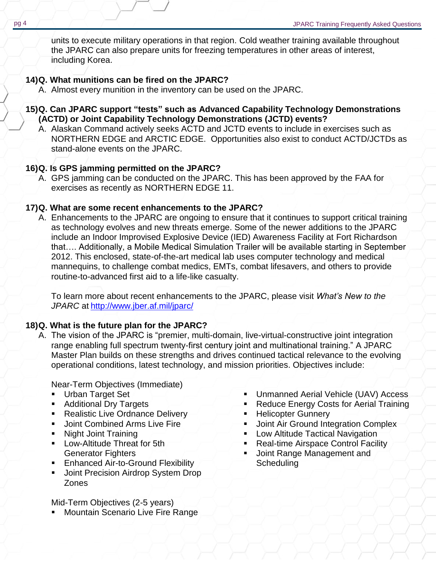units to execute military operations in that region. Cold weather training available throughout the JPARC can also prepare units for freezing temperatures in other areas of interest, including Korea.

## **14)Q. What munitions can be fired on the JPARC?**

A. Almost every munition in the inventory can be used on the JPARC.

- **15)Q. Can JPARC support "tests" such as Advanced Capability Technology Demonstrations (ACTD) or Joint Capability Technology Demonstrations (JCTD) events?**
	- A. Alaskan Command actively seeks ACTD and JCTD events to include in exercises such as NORTHERN EDGE and ARCTIC EDGE. Opportunities also exist to conduct ACTD/JCTDs as stand-alone events on the JPARC.

## **16)Q. Is GPS jamming permitted on the JPARC?**

A. GPS jamming can be conducted on the JPARC. This has been approved by the FAA for exercises as recently as NORTHERN EDGE 11.

## **17)Q. What are some recent enhancements to the JPARC?**

A. Enhancements to the JPARC are ongoing to ensure that it continues to support critical training as technology evolves and new threats emerge. Some of the newer additions to the JPARC include an Indoor Improvised Explosive Device (IED) Awareness Facility at Fort Richardson that…. Additionally, a Mobile Medical Simulation Trailer will be available starting in September 2012. This enclosed, state-of-the-art medical lab uses computer technology and medical mannequins, to challenge combat medics, EMTs, combat lifesavers, and others to provide routine-to-advanced first aid to a life-like casualty.

To learn more about recent enhancements to the JPARC, please visit *What's New to the JPARC* at <http://www.jber.af.mil/jparc/>

## **18)Q. What is the future plan for the JPARC?**

A. The vision of the JPARC is "premier, multi-domain, live-virtual-constructive joint integration range enabling full spectrum twenty-first century joint and multinational training." A JPARC Master Plan builds on these strengths and drives continued tactical relevance to the evolving operational conditions, latest technology, and mission priorities. Objectives include:

Near-Term Objectives (Immediate)

- **Urban Target Set**
- **Additional Dry Targets**
- **Realistic Live Ordnance Delivery**
- **Joint Combined Arms Live Fire**
- Night Joint Training
- **Low-Altitude Threat for 5th** Generator Fighters
- **Enhanced Air-to-Ground Flexibility**
- Joint Precision Airdrop System Drop Zones

Mid-Term Objectives (2-5 years)

**Mountain Scenario Live Fire Range** 

- **Unmanned Aerial Vehicle (UAV) Access**
- **Reduce Energy Costs for Aerial Training**
- Helicopter Gunnery
- **Joint Air Ground Integration Complex**
- **-** Low Altitude Tactical Navigation
- Real-time Airspace Control Facility
- Joint Range Management and **Scheduling**